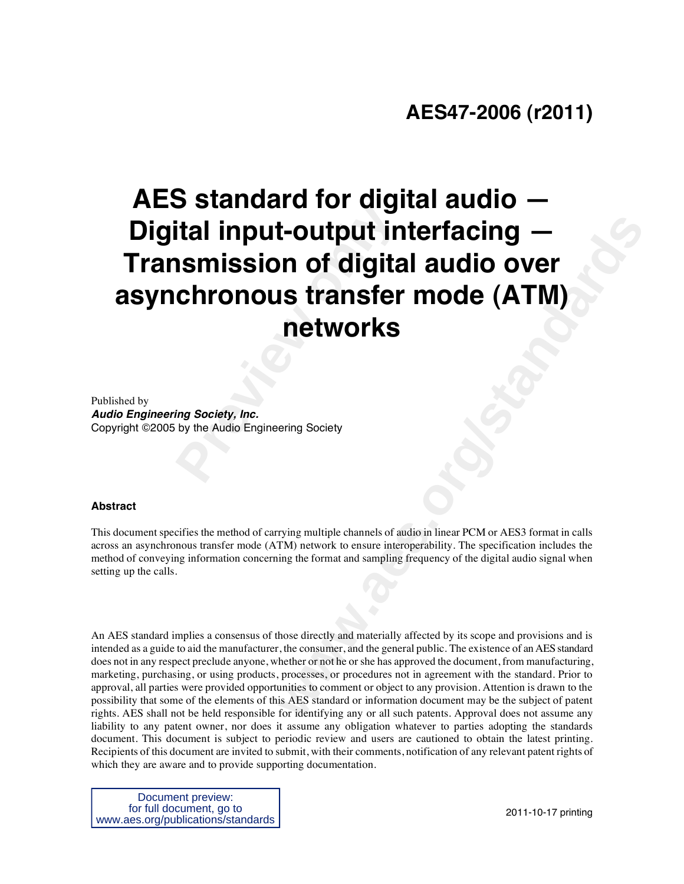# **Preview In the Section Smission of digital input-output in<br>
<b>Provided Chronous transfer**<br> **Provide Audio Engineering Society**<br>
For the Audio Engineering Society **controlling the Controlling Controlling Controlling Controlling Controlling Controlling Scrib Controlling Scrib Controlling Scrib Controlling Scrib Controlling Scrib Controlling Scrib Controlling Scrib Controlling Scrib C AES standard for digital audio — Digital input-output interfacing — Transmission of digital audio over asynchronous transfer mode (ATM) networks**

Published by *Audio Engineering Society, Inc.*  Copyright ©2005 by the Audio Engineering Society

#### **Abstract**

This document specifies the method of carrying multiple channels of audio in linear PCM or AES3 format in calls across an asynchronous transfer mode (ATM) network to ensure interoperability. The specification includes the method of conveying information concerning the format and sampling frequency of the digital audio signal when setting up the calls.

An AES standard implies a consensus of those directly and materially affected by its scope and provisions and is intended as a guide to aid the manufacturer, the consumer, and the general public. The existence of an AES standard does not in any respect preclude anyone, whether or not he or she has approved the document, from manufacturing, marketing, purchasing, or using products, processes, or procedures not in agreement with the standard. Prior to approval, all parties were provided opportunities to comment or object to any provision. Attention is drawn to the possibility that some of the elements of this AES standard or information document may be the subject of patent rights. AES shall not be held responsible for identifying any or all such patents. Approval does not assume any liability to any patent owner, nor does it assume any obligation whatever to parties adopting the standards document. This document is subject to periodic review and users are cautioned to obtain the latest printing. Recipients of this document are invited to submit, with their comments, notification of any relevant patent rights of which they are aware and to provide supporting documentation.

Document preview: for full document, go to www.aes.org/publications/standards

2011-10-17 printing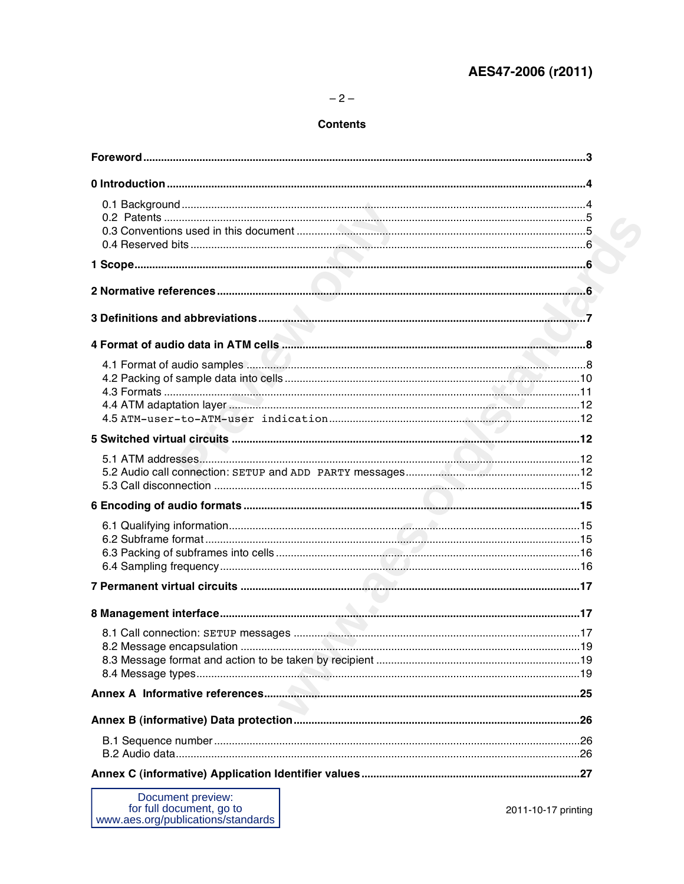# AES47-2006 (r2011)

#### **Contents**

| 4.1 Format of audio samples <b>Manual Manual Communities</b> and all the series and all the samples and all the series and series and series and series and series and series and series and series and series and series and serie |                     |
|-------------------------------------------------------------------------------------------------------------------------------------------------------------------------------------------------------------------------------------|---------------------|
|                                                                                                                                                                                                                                     |                     |
|                                                                                                                                                                                                                                     |                     |
|                                                                                                                                                                                                                                     |                     |
|                                                                                                                                                                                                                                     |                     |
|                                                                                                                                                                                                                                     |                     |
|                                                                                                                                                                                                                                     |                     |
|                                                                                                                                                                                                                                     |                     |
|                                                                                                                                                                                                                                     |                     |
|                                                                                                                                                                                                                                     |                     |
|                                                                                                                                                                                                                                     |                     |
|                                                                                                                                                                                                                                     |                     |
|                                                                                                                                                                                                                                     |                     |
|                                                                                                                                                                                                                                     |                     |
|                                                                                                                                                                                                                                     |                     |
|                                                                                                                                                                                                                                     |                     |
|                                                                                                                                                                                                                                     |                     |
|                                                                                                                                                                                                                                     |                     |
|                                                                                                                                                                                                                                     |                     |
|                                                                                                                                                                                                                                     |                     |
|                                                                                                                                                                                                                                     |                     |
|                                                                                                                                                                                                                                     |                     |
|                                                                                                                                                                                                                                     |                     |
| Document preview:<br>for full document, go to<br>www.aes.org/publications/standards                                                                                                                                                 | 2011-10-17 printing |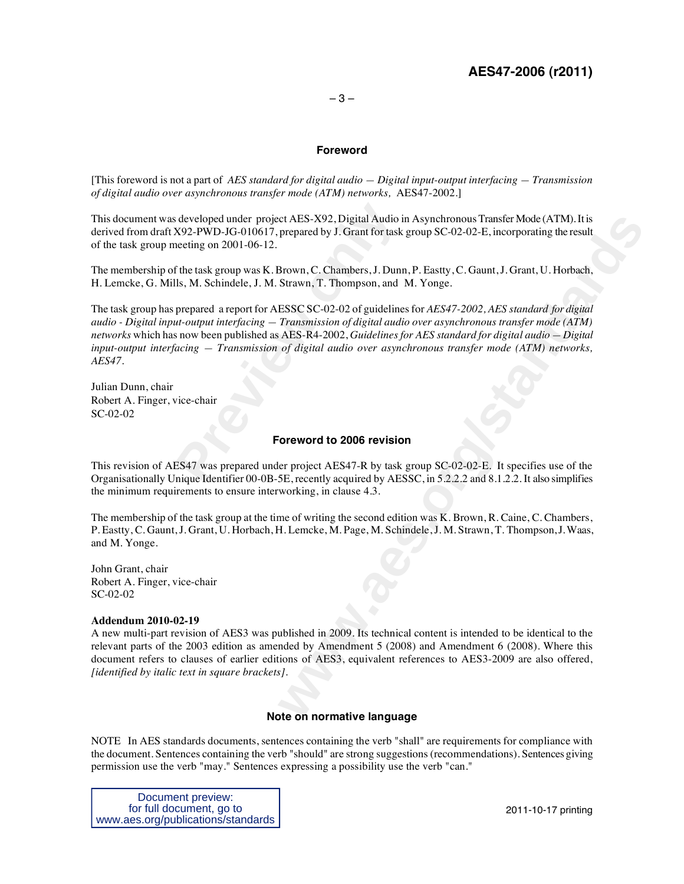#### **Foreword**

[This foreword is not a part of *AES standard for digital audio — Digital input-output interfacing — Transmission of digital audio over asynchronous transfer mode (ATM) networks,* AES47-2002.]

This document was developed under project AES-X92, Digital Audio in Asynchronous Transfer Mode (ATM). It is derived from draft X92-PWD-JG-010617, prepared by J. Grant for task group SC-02-02-E, incorporating the result of the task group meeting on 2001-06-12.

The membership of the task group was K. Brown, C. Chambers, J. Dunn, P. Eastty, C. Gaunt, J. Grant, U. Horbach, H. Lemcke, G. Mills, M. Schindele, J. M. Strawn, T. Thompson, and M. Yonge.

rate and the project AES-X92, Digital Audio is<br>
X92-PWD-JG-010617, prepared by J. Grant for task<br>
neeting on 2001-06-12.<br>
f the task group was K. Brown, C. Chambers, J. Dunn<br>
lls, M. Schindele, J. M. Strawn, T. Thompson, a et AES-X92, Digital Audio in Asynchronous Transfer Mode (ATM), It is<br>prepared by J. Grant for task group SC-02-02-E, incorporating the result<br>Brown, C. Chambers, J. Dunn, P. Eastly, C. Gaunt, J. Grant, U. Horbach,<br>Strawn, The task group has prepared a report for AESSC SC-02-02 of guidelines for *AES47-2002, AES standard for digital audio - Digital input-output interfacing — Transmission of digital audio over asynchronous transfer mode (ATM) networks* which has now been published as AES-R4-2002, *Guidelines for AES standard for digital audio — Digital input-output interfacing — Transmission of digital audio over asynchronous transfer mode (ATM) networks, AES47*.

Julian Dunn, chair Robert A. Finger, vice-chair SC-02-02

#### **Foreword to 2006 revision**

This revision of AES47 was prepared under project AES47-R by task group SC-02-02-E. It specifies use of the Organisationally Unique Identifier 00-0B-5E, recently acquired by AESSC, in 5.2.2.2 and 8.1.2.2. It also simplifies the minimum requirements to ensure interworking, in clause 4.3.

The membership of the task group at the time of writing the second edition was K. Brown, R. Caine, C. Chambers, P. Eastty, C. Gaunt, J. Grant, U. Horbach, H. Lemcke, M. Page, M. Schindele, J. M. Strawn, T. Thompson, J. Waas, and M. Yonge.

John Grant, chair Robert A. Finger, vice-chair SC-02-02

#### **Addendum 2010-02-19**

A new multi-part revision of AES3 was published in 2009. Its technical content is intended to be identical to the relevant parts of the 2003 edition as amended by Amendment 5 (2008) and Amendment 6 (2008). Where this document refers to clauses of earlier editions of AES3, equivalent references to AES3-2009 are also offered, *[identified by italic text in square brackets]*.

#### **Note on normative language**

NOTE In AES standards documents, sentences containing the verb "shall" are requirements for compliance with the document. Sentences containing the verb "should" are strong suggestions (recommendations). Sentences giving permission use the verb "may." Sentences expressing a possibility use the verb "can."

Document preview: for full document, go to www.aes.org/publications/standards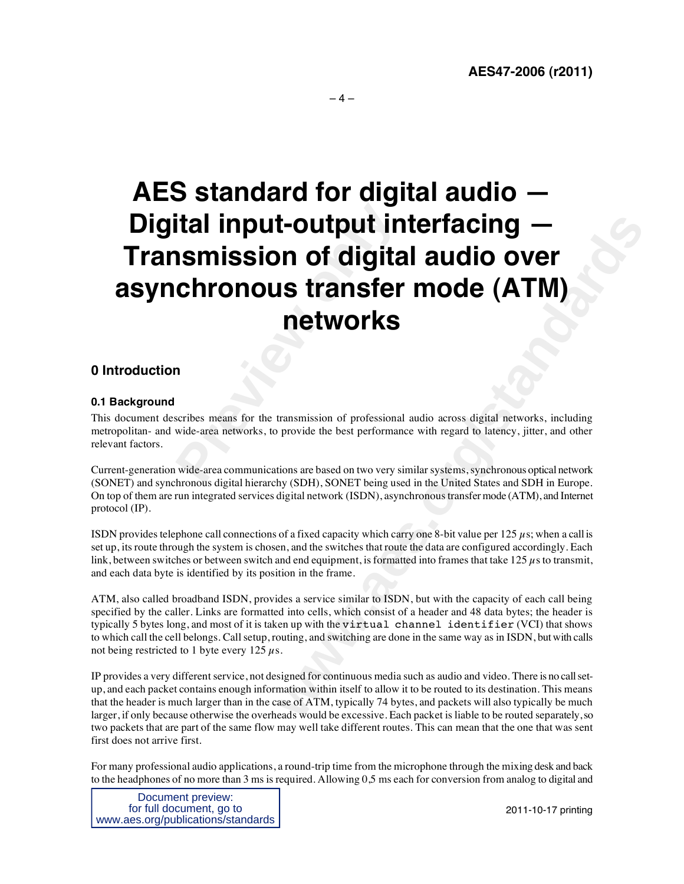# **Preview The Second Second Section Section Section Section Section Section Section Section Section Section Section Section Section Section Section Section Section Section Section Section Section Section Section Section Sec control in the standard Control Control Control Control Control Control Control Control Control Control Control Control Control Control Control Control Control Control Control Control Control Control Control Control Contr AES standard for digital audio — Digital input-output interfacing — Transmission of digital audio over asynchronous transfer mode (ATM) networks**

### **0 Introduction**

#### **0.1 Background**

This document describes means for the transmission of professional audio across digital networks, including metropolitan- and wide-area networks, to provide the best performance with regard to latency, jitter, and other relevant factors.

Current-generation wide-area communications are based on two very similar systems, synchronous optical network (SONET) and synchronous digital hierarchy (SDH), SONET being used in the United States and SDH in Europe. On top of them are run integrated services digital network (ISDN), asynchronous transfer mode (ATM), and Internet protocol (IP).

ISDN provides telephone call connections of a fixed capacity which carry one 8-bit value per 125  $\mu$ s; when a call is set up, its route through the system is chosen, and the switches that route the data are configured accordingly. Each link, between switches or between switch and end equipment, is formatted into frames that take 125  $\mu$ s to transmit, and each data byte is identified by its position in the frame.

ATM, also called broadband ISDN, provides a service similar to ISDN, but with the capacity of each call being specified by the caller. Links are formatted into cells, which consist of a header and 48 data bytes; the header is typically 5 bytes long, and most of it is taken up with the virtual channel identifier (VCI) that shows to which call the cell belongs. Call setup, routing, and switching are done in the same way as in ISDN, but with calls not being restricted to 1 byte every  $125 \mu s$ .

IP provides a very different service, not designed for continuous media such as audio and video. There is no call setup, and each packet contains enough information within itself to allow it to be routed to its destination. This means that the header is much larger than in the case of ATM, typically 74 bytes, and packets will also typically be much larger, if only because otherwise the overheads would be excessive. Each packet is liable to be routed separately, so two packets that are part of the same flow may well take different routes. This can mean that the one that was sent first does not arrive first.

For many professional audio applications, a round-trip time from the microphone through the mixing desk and back to the headphones of no more than 3 ms is required. Allowing 0,5 ms each for conversion from analog to digital and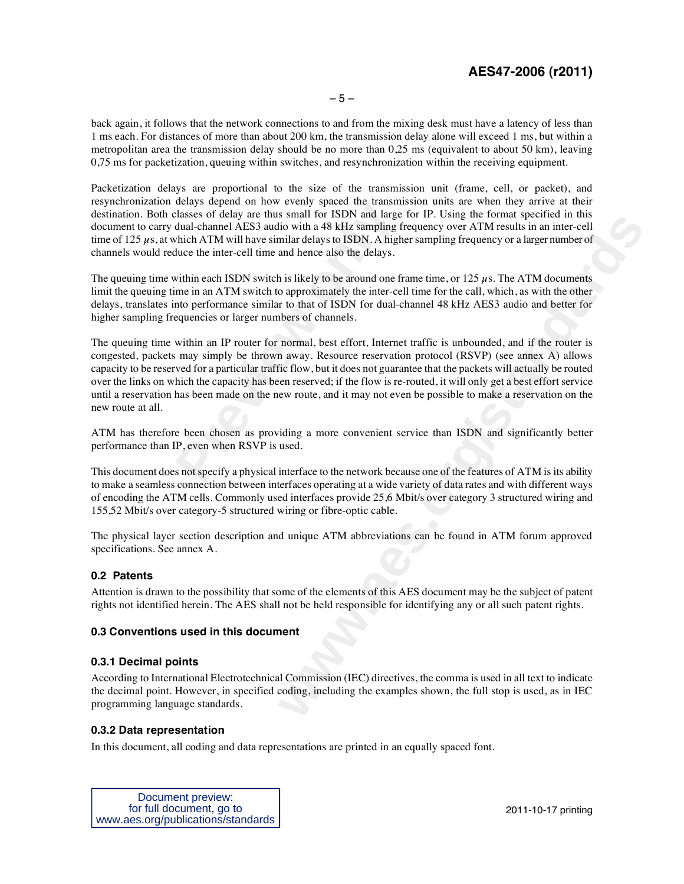# **AES47-2006 (r2011)**

back again, it follows that the network connections to and from the mixing desk must have a latency of less than 1 ms each. For distances of more than about 200 km, the transmission delay alone will exceed 1 ms, but within a metropolitan area the transmission delay should be no more than 0,25 ms (equivalent to about 50 km), leaving 0.75 ms for packetization, queuing within switches, and resynchronization within the receiving equipment.

Packetization delays are proportional to the size of the transmission unit (frame, cell, or packet), and resynchronization delays depend on how evenly spaced the transmission units are when they arrive at their destination. Both classes of delay are thus small for ISDN and large for IP. Using the format specified in this document to carry dual-channel AES3 audio with a 48 kHz sampling frequency over ATM results in an inter-cell time of 125  $\mu$ s, at which ATM will have similar delays to ISDN. A higher sampling frequency or a larger number of channels would reduce the inter-cell time and hence also the delays.

The queuing time within each ISDN switch is likely to be around one frame time, or  $125 \mu s$ . The ATM documents limit the queuing time in an ATM switch to approximately the inter-cell time for the call, which, as with the other delays, translates into performance similar to that of ISDN for dual-channel 48 kHz AES3 audio and better for higher sampling frequencies or larger numbers of channels.

density subset of now vertily spects the dramational classes of delay are thus small for ISDN and large dual-channel AES3 audio with a 48 kHz sampling fishion ATM will have similar delays to ISDN. A high luce the inter-cel **watter of the Standards** required to the constraint specified in the standard in the standard in the standard in the standard change to the constrained in the standard dard band band chence also the delays.<br>
and hence als The queuing time within an IP router for normal, best effort, Internet traffic is unbounded, and if the router is congested, packets may simply be thrown away. Resource reservation protocol (RSVP) (see annex A) allows capacity to be reserved for a particular traffic flow, but it does not guarantee that the packets will actually be routed over the links on which the capacity has been reserved; if the flow is re-routed, it will only get a best effort service until a reservation has been made on the new route, and it may not even be possible to make a reservation on the new route at all.

ATM has therefore been chosen as providing a more convenient service than ISDN and significantly better performance than IP, even when RSVP is used.

This document does not specify a physical interface to the network because one of the features of ATM is its ability to make a seamless connection between interfaces operating at a wide variety of data rates and with different ways of encoding the ATM cells. Commonly used interfaces provide 25,6 Mbit/s over category 3 structured wiring and 155,52 Mbit/s over category-5 structured wiring or fibre-optic cable.

The physical layer section description and unique ATM abbreviations can be found in ATM forum approved specifications. See annex A.

#### **0.2 Patents**

Attention is drawn to the possibility that some of the elements of this AES document may be the subject of patent rights not identified herein. The AES shall not be held responsible for identifying any or all such patent rights.

#### **0.3 Conventions used in this document**

#### **0.3.1 Decimal points**

According to International Electrotechnical Commission (IEC) directives, the comma is used in all text to indicate the decimal point. However, in specified coding, including the examples shown, the full stop is used, as in IEC programming language standards.

#### **0.3.2 Data representation**

In this document, all coding and data representations are printed in an equally spaced font.